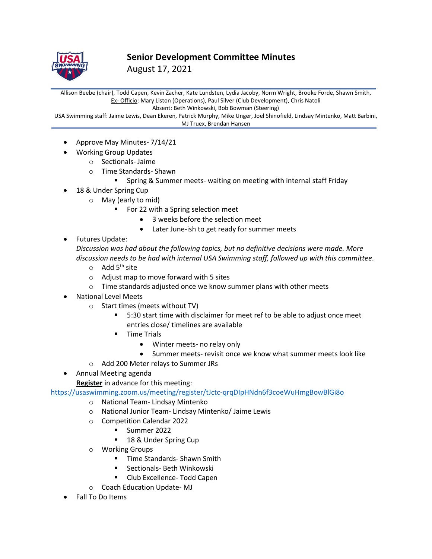

**Senior Development Committee Minutes**

August 17, 2021

Allison Beebe (chair), Todd Capen, Kevin Zacher, Kate Lundsten, Lydia Jacoby, Norm Wright, Brooke Forde, Shawn Smith, Ex- Officio: Mary Liston (Operations), Paul Silver (Club Development), Chris Natoli Absent: Beth Winkowski, Bob Bowman (Steering)

USA Swimming staff: Jaime Lewis, Dean Ekeren, Patrick Murphy, Mike Unger, Joel Shinofield, Lindsay Mintenko, Matt Barbini, MJ Truex, Brendan Hansen

- Approve May Minutes- 7/14/21
- Working Group Updates
	- o Sectionals- Jaime
	- o Time Standards- Shawn
		- **E** Spring & Summer meets- waiting on meeting with internal staff Friday
- 18 & Under Spring Cup
	- o May (early to mid)
		- For 22 with a Spring selection meet
			- 3 weeks before the selection meet
				- Later June-ish to get ready for summer meets
- Futures Update:

*Discussion was had about the following topics, but no definitive decisions were made. More discussion needs to be had with internal USA Swimming staff, followed up with this committee.*

- $\circ$  Add 5<sup>th</sup> site
- o Adjust map to move forward with 5 sites
- o Time standards adjusted once we know summer plans with other meets
- National Level Meets
	- o Start times (meets without TV)
		- 5:30 start time with disclaimer for meet ref to be able to adjust once meet entries close/ timelines are available
		- Time Trials
			- Winter meets- no relay only
			- Summer meets- revisit once we know what summer meets look like
	- o Add 200 Meter relays to Summer JRs
- Annual Meeting agenda
- **Register** in advance for this meeting:

<https://usaswimming.zoom.us/meeting/register/tJctc-qrqDIpHNdn6f3coeWuHmgBowBlGi8o>

- o National Team- Lindsay Mintenko
- o National Junior Team- Lindsay Mintenko/ Jaime Lewis
- o Competition Calendar 2022
	- Summer 2022
	- 18 & Under Spring Cup
- o Working Groups
	- Time Standards- Shawn Smith
	- Sectionals- Beth Winkowski
	- Club Excellence- Todd Capen
- o Coach Education Update- MJ
- Fall To Do Items